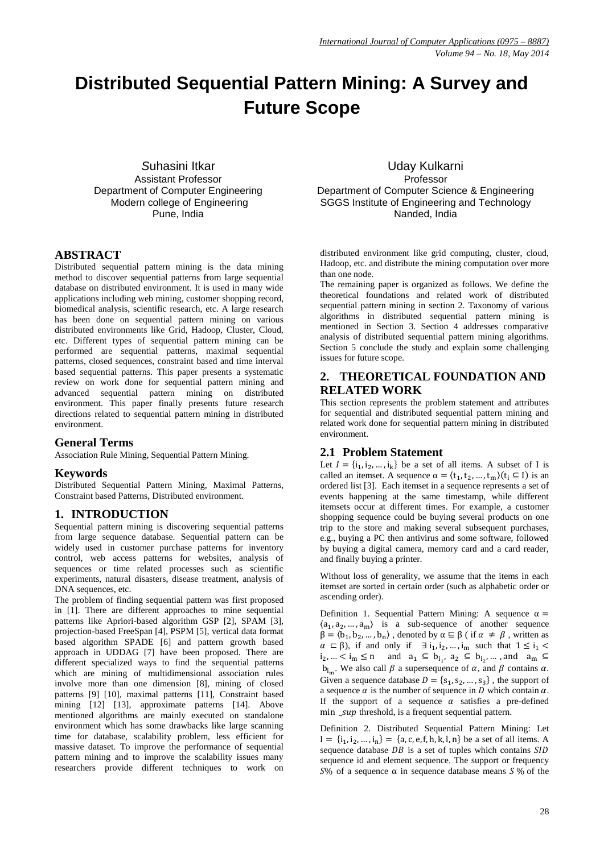# **Distributed Sequential Pattern Mining: A Survey and Future Scope**

*S*uhasini Itkar Assistant Professor Department of Computer Engineering Modern college of Engineering Pune, India

# **ABSTRACT**

Distributed sequential pattern mining is the data mining method to discover sequential patterns from large sequential database on distributed environment. It is used in many wide applications including web mining, customer shopping record, biomedical analysis, scientific research, etc. A large research has been done on sequential pattern mining on various distributed environments like Grid, Hadoop, Cluster, Cloud, etc. Different types of sequential pattern mining can be performed are sequential patterns, maximal sequential patterns, closed sequences, constraint based and time interval based sequential patterns. This paper presents a systematic review on work done for sequential pattern mining and advanced sequential pattern mining on distributed environment. This paper finally presents future research directions related to sequential pattern mining in distributed environment.

### **General Terms**

Association Rule Mining, Sequential Pattern Mining.

### **Keywords**

Distributed Sequential Pattern Mining, Maximal Patterns, Constraint based Patterns, Distributed environment.

### **1. INTRODUCTION**

Sequential pattern mining is discovering sequential patterns from large sequence database. Sequential pattern can be widely used in customer purchase patterns for inventory control, web access patterns for websites, analysis of sequences or time related processes such as scientific experiments, natural disasters, disease treatment, analysis of DNA sequences, etc.

The problem of finding sequential pattern was first proposed in [1]. There are different approaches to mine sequential patterns like Apriori-based algorithm GSP [2], SPAM [3], projection-based FreeSpan [4], PSPM [5], vertical data format based algorithm SPADE [6] and pattern growth based approach in UDDAG [7] have been proposed. There are different specialized ways to find the sequential patterns which are mining of multidimensional association rules involve more than one dimension [8], mining of closed patterns [9] [10], maximal patterns [11], Constraint based mining [12] [13], approximate patterns [14]. Above mentioned algorithms are mainly executed on standalone environment which has some drawbacks like large scanning time for database, scalability problem, less efficient for massive dataset. To improve the performance of sequential pattern mining and to improve the scalability issues many researchers provide different techniques to work on

Uday Kulkarni Professor Department of Computer Science & Engineering SGGS Institute of Engineering and Technology Nanded, India

distributed environment like grid computing, cluster, cloud, Hadoop, etc. and distribute the mining computation over more than one node.

The remaining paper is organized as follows. We define the theoretical foundations and related work of distributed sequential pattern mining in section 2. Taxonomy of various algorithms in distributed sequential pattern mining is mentioned in Section 3. Section 4 addresses comparative analysis of distributed sequential pattern mining algorithms. Section 5 conclude the study and explain some challenging issues for future scope.

# **2. THEORETICAL FOUNDATION AND RELATED WORK**

This section represents the problem statement and attributes for sequential and distributed sequential pattern mining and related work done for sequential pattern mining in distributed environment.

# **2.1 Problem Statement**

Let  $I = \{i_1, i_2, ..., i_k\}$  be a set of all items. A subset of I is called an itemset. A sequence  $\alpha = \langle t_1, t_2, ..., t_m \rangle (t_i \subseteq I)$  is an ordered list [3]. Each itemset in a sequence represents a set of events happening at the same timestamp, while different itemsets occur at different times. For example, a customer shopping sequence could be buying several products on one trip to the store and making several subsequent purchases, e.g., buying a PC then antivirus and some software, followed by buying a digital camera, memory card and a card reader, and finally buying a printer.

Without loss of generality, we assume that the items in each itemset are sorted in certain order (such as alphabetic order or ascending order).

Definition 1. Sequential Pattern Mining: A sequence  $\alpha =$  $\langle a_1, a_2, ..., a_m \rangle$  is a sub-sequence of another sequence  $\beta = \langle b_1, b_2, ..., b_n \rangle$ , denoted by  $\alpha \subseteq \beta$  (if  $\alpha \neq \beta$ , written as  $\alpha \subset \beta$ ), if and only if  $\exists i_1, i_2, ..., i_m$  such that  $1 \leq i_1$  $i_2, ... < i_m \le n$  and  $a_1 \subseteq b_{i_1}, a_2 \subseteq b_{i_2}$  $b_{i_m}$ . We also call  $\beta$  a supersequence of  $\alpha$ , and  $\beta$  contains  $\alpha$ . Given a sequence database  $D = \{s_1, s_2, ..., s_3\}$ , the support of a sequence  $\alpha$  is the number of sequence in D which contain  $\alpha$ . If the support of a sequence  $\alpha$  satisfies a pre-defined  $min$   $\mu$  threshold, is a frequent sequential pattern.

Definition 2. Distributed Sequential Pattern Mining: Let  $I = \{i_1, i_2, ..., i_n\} = \{a, c, e, f, h, k, l, n\}$  be a set of all items. A sequence database  $DB$  is a set of tuples which contains  $SID$ sequence id and element sequence. The support or frequency  $S\%$  of a sequence  $\alpha$  in sequence database means  $S\%$  of the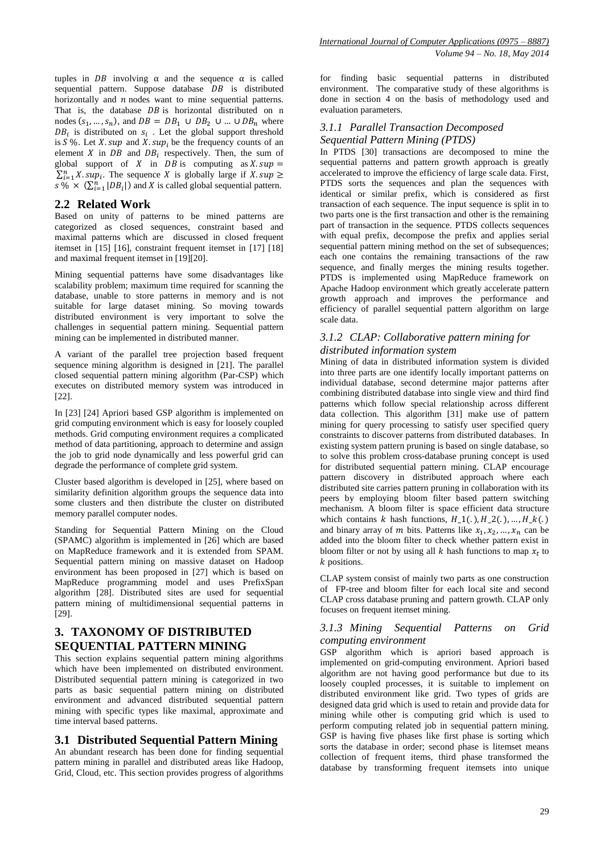tuples in DB involving  $\alpha$  and the sequence  $\alpha$  is called sequential pattern. Suppose database  $DB$  is distributed horizontally and  $n$  nodes want to mine sequential patterns. That is, the database  $DB$  is horizontal distributed on n nodes  $(s_1, ..., s_n)$ , and  $DB = DB_1 \cup DB_2 \cup ... \cup DB_n$  where  $DB_i$  is distributed on  $s_i$ . Let the global support threshold is  $S\%$ . Let X. sup and X. sup<sub>i</sub> be the frequency counts of an element X in  $DB$  and  $DB_i$  respectively. Then, the sum of global support of X in  $DB$  is computing as X. sup =  $\sum_{i=1}^{n} X \cdot \sup_{i}$ . The sequence X is globally large if  $s \rightarrow \infty$   $(\sum_{i=1}^{n} |DB_i|)$  and X is called global sequential pattern.

### **2.2 Related Work**

Based on unity of patterns to be mined patterns are categorized as closed sequences, constraint based and maximal patterns which are discussed in closed frequent itemset in [15] [16], constraint frequent itemset in [17] [18] and maximal frequent itemset in [19][20].

Mining sequential patterns have some disadvantages like scalability problem; maximum time required for scanning the database, unable to store patterns in memory and is not suitable for large dataset mining. So moving towards distributed environment is very important to solve the challenges in sequential pattern mining. Sequential pattern mining can be implemented in distributed manner.

A variant of the parallel tree projection based frequent sequence mining algorithm is designed in [21]. The parallel closed sequential pattern mining algorithm (Par-CSP) which executes on distributed memory system was introduced in [22].

In [23] [24] Apriori based GSP algorithm is implemented on grid computing environment which is easy for loosely coupled methods. Grid computing environment requires a complicated method of data partitioning, approach to determine and assign the job to grid node dynamically and less powerful grid can degrade the performance of complete grid system.

Cluster based algorithm is developed in [25], where based on similarity definition algorithm groups the sequence data into some clusters and then distribute the cluster on distributed memory parallel computer nodes.

Standing for Sequential Pattern Mining on the Cloud (SPAMC) algorithm is implemented in [26] which are based on MapReduce framework and it is extended from SPAM. Sequential pattern mining on massive dataset on Hadoop environment has been proposed in [27] which is based on MapReduce programming model and uses PrefixSpan algorithm [28]. Distributed sites are used for sequential pattern mining of multidimensional sequential patterns in [29].

# **3. TAXONOMY OF DISTRIBUTED SEQUENTIAL PATTERN MINING**

This section explains sequential pattern mining algorithms which have been implemented on distributed environment. Distributed sequential pattern mining is categorized in two parts as basic sequential pattern mining on distributed environment and advanced distributed sequential pattern mining with specific types like maximal, approximate and time interval based patterns.

### **3.1 Distributed Sequential Pattern Mining**

An abundant research has been done for finding sequential pattern mining in parallel and distributed areas like Hadoop, Grid, Cloud, etc. This section provides progress of algorithms for finding basic sequential patterns in distributed environment. The comparative study of these algorithms is done in section 4 on the basis of methodology used and evaluation parameters.

### *3.1.1 Parallel Transaction Decomposed Sequential Pattern Mining (PTDS)*

In PTDS [30] transactions are decomposed to mine the sequential patterns and pattern growth approach is greatly accelerated to improve the efficiency of large scale data. First, PTDS sorts the sequences and plan the sequences with identical or similar prefix, which is considered as first transaction of each sequence. The input sequence is split in to two parts one is the first transaction and other is the remaining part of transaction in the sequence. PTDS collects sequences with equal prefix, decompose the prefix and applies serial sequential pattern mining method on the set of subsequences; each one contains the remaining transactions of the raw sequence, and finally merges the mining results together. PTDS is implemented using MapReduce framework on Apache Hadoop environment which greatly accelerate pattern growth approach and improves the performance and efficiency of parallel sequential pattern algorithm on large scale data.

### *3.1.2 CLAP: Collaborative pattern mining for distributed information system*

Mining of data in distributed information system is divided into three parts are one identify locally important patterns on individual database, second determine major patterns after combining distributed database into single view and third find patterns which follow special relationship across different data collection. This algorithm [31] make use of pattern mining for query processing to satisfy user specified query constraints to discover patterns from distributed databases. In existing system pattern pruning is based on single database, so to solve this problem cross-database pruning concept is used for distributed sequential pattern mining. CLAP encourage pattern discovery in distributed approach where each distributed site carries pattern pruning in collaboration with its peers by employing bloom filter based pattern switching mechanism. A bloom filter is space efficient data structure which contains k hash functions,  $H_1(.)$ ,  $H_2(.)$ , ...,  $H_k(.)$ and binary array of m bits. Patterns like  $x_1, x_2, ..., x_n$  can be added into the bloom filter to check whether pattern exist in bloom filter or not by using all  $k$  hash functions to map  $x_t$  to k positions.

CLAP system consist of mainly two parts as one construction of FP-tree and bloom filter for each local site and second CLAP cross database pruning and pattern growth. CLAP only focuses on frequent itemset mining.

### *3.1.3 Mining Sequential Patterns on Grid computing environment*

GSP algorithm which is apriori based approach is implemented on grid-computing environment. Apriori based algorithm are not having good performance but due to its loosely coupled processes, it is suitable to implement on distributed environment like grid. Two types of grids are designed data grid which is used to retain and provide data for mining while other is computing grid which is used to perform computing related job in sequential pattern mining. GSP is having five phases like first phase is sorting which sorts the database in order; second phase is litemset means collection of frequent items, third phase transformed the database by transforming frequent itemsets into unique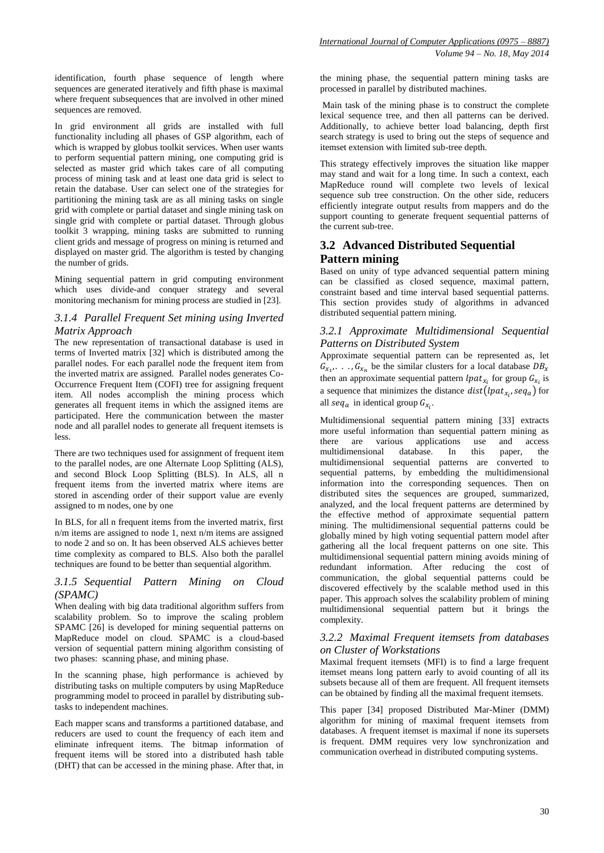identification, fourth phase sequence of length where sequences are generated iteratively and fifth phase is maximal where frequent subsequences that are involved in other mined sequences are removed.

In grid environment all grids are installed with full functionality including all phases of GSP algorithm, each of which is wrapped by globus toolkit services. When user wants to perform sequential pattern mining, one computing grid is selected as master grid which takes care of all computing process of mining task and at least one data grid is select to retain the database. User can select one of the strategies for partitioning the mining task are as all mining tasks on single grid with complete or partial dataset and single mining task on single grid with complete or partial dataset. Through globus toolkit 3 wrapping, mining tasks are submitted to running client grids and message of progress on mining is returned and displayed on master grid. The algorithm is tested by changing the number of grids.

Mining sequential pattern in grid computing environment which uses divide-and conquer strategy and several monitoring mechanism for mining process are studied in [23].

### *3.1.4 Parallel Frequent Set mining using Inverted Matrix Approach*

The new representation of transactional database is used in terms of Inverted matrix [32] which is distributed among the parallel nodes. For each parallel node the frequent item from the inverted matrix are assigned. Parallel nodes generates Co-Occurrence Frequent Item (COFI) tree for assigning frequent item. All nodes accomplish the mining process which generates all frequent items in which the assigned items are participated. Here the communication between the master node and all parallel nodes to generate all frequent itemsets is less.

There are two techniques used for assignment of frequent item to the parallel nodes, are one Alternate Loop Splitting (ALS), and second Block Loop Splitting (BLS). In ALS, all n frequent items from the inverted matrix where items are stored in ascending order of their support value are evenly assigned to m nodes, one by one

In BLS, for all n frequent items from the inverted matrix, first n/m items are assigned to node 1, next n/m items are assigned to node 2 and so on. It has been observed ALS achieves better time complexity as compared to BLS. Also both the parallel techniques are found to be better than sequential algorithm.

### *3.1.5 Sequential Pattern Mining on Cloud (SPAMC)*

When dealing with big data traditional algorithm suffers from scalability problem. So to improve the scaling problem SPAMC [26] is developed for mining sequential patterns on MapReduce model on cloud. SPAMC is a cloud-based version of sequential pattern mining algorithm consisting of two phases: scanning phase, and mining phase.

In the scanning phase, high performance is achieved by distributing tasks on multiple computers by using MapReduce programming model to proceed in parallel by distributing subtasks to independent machines.

Each mapper scans and transforms a partitioned database, and reducers are used to count the frequency of each item and eliminate infrequent items. The bitmap information of frequent items will be stored into a distributed hash table (DHT) that can be accessed in the mining phase. After that, in

the mining phase, the sequential pattern mining tasks are processed in parallel by distributed machines.

Main task of the mining phase is to construct the complete lexical sequence tree, and then all patterns can be derived. Additionally, to achieve better load balancing, depth first search strategy is used to bring out the steps of sequence and itemset extension with limited sub-tree depth.

This strategy effectively improves the situation like mapper may stand and wait for a long time. In such a context, each MapReduce round will complete two levels of lexical sequence sub tree construction. On the other side, reducers efficiently integrate output results from mappers and do the support counting to generate frequent sequential patterns of the current sub-tree.

# **3.2 Advanced Distributed Sequential Pattern mining**

Based on unity of type advanced sequential pattern mining can be classified as closed sequence, maximal pattern, constraint based and time interval based sequential patterns. This section provides study of algorithms in advanced distributed sequential pattern mining.

# *3.2.1 Approximate Multidimensional Sequential Patterns on Distributed System*

Approximate sequential pattern can be represented as, let  $G_{x_1}, \ldots, G_{x_n}$  be the similar clusters for a local database then an approximate sequential pattern *lpat<sub>x</sub>*, for group  $G_x$ , is a sequence that minimizes the distance  $dist($ l $pat_x,$ ,  $seq_a)$  for all seq<sub>a</sub> in identical group  $G_{x_i}$ .

Multidimensional sequential pattern mining [33] extracts more useful information than sequential pattern mining as there are various applications use and access multidimensional database. In this paper, the multidimensional sequential patterns are converted to sequential patterns, by embedding the multidimensional information into the corresponding sequences. Then on distributed sites the sequences are grouped, summarized, analyzed, and the local frequent patterns are determined by the effective method of approximate sequential pattern mining. The multidimensional sequential patterns could be globally mined by high voting sequential pattern model after gathering all the local frequent patterns on one site. This multidimensional sequential pattern mining avoids mining of redundant information. After reducing the cost of communication, the global sequential patterns could be discovered effectively by the scalable method used in this paper. This approach solves the scalability problem of mining multidimensional sequential pattern but it brings the complexity.

### *3.2.2 Maximal Frequent itemsets from databases on Cluster of Workstations*

Maximal frequent itemsets (MFI) is to find a large frequent itemset means long pattern early to avoid counting of all its subsets because all of them are frequent. All frequent itemsets can be obtained by finding all the maximal frequent itemsets.

This paper [34] proposed Distributed Mar-Miner (DMM) algorithm for mining of maximal frequent itemsets from databases. A frequent itemset is maximal if none its supersets is frequent. DMM requires very low synchronization and communication overhead in distributed computing systems.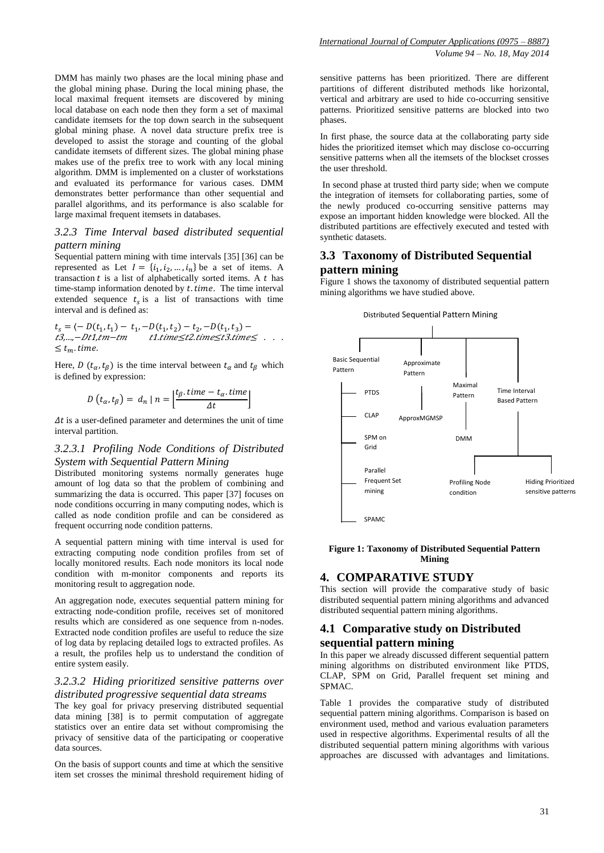DMM has mainly two phases are the local mining phase and the global mining phase. During the local mining phase, the local maximal frequent itemsets are discovered by mining local database on each node then they form a set of maximal candidate itemsets for the top down search in the subsequent global mining phase. A novel data structure prefix tree is developed to assist the storage and counting of the global candidate itemsets of different sizes. The global mining phase makes use of the prefix tree to work with any local mining algorithm. DMM is implemented on a cluster of workstations and evaluated its performance for various cases. DMM demonstrates better performance than other sequential and parallel algorithms, and its performance is also scalable for large maximal frequent itemsets in databases.

### *3.2.3 Time Interval based distributed sequential pattern mining*

Sequential pattern mining with time intervals [35] [36] can be represented as Let  $I = \{i_1, i_2, ..., i_n\}$  be a set of items. A transaction  $t$  is a list of alphabetically sorted items. A  $t$  has time-stamp information denoted by  $t.$  time. The time interval extended sequence  $t_s$  is a list of transactions with time interval and is defined as:

 $t_s = \langle -D(t_1, t_1) - t_1, -D(t_1, t_2) - t_2, -D(t_1, t_3) \rangle$  $t3,...,-Dt1,tm-tm$   $t1.time \leq t2.time \leq t3.time \leq . . .$  $\leq t_m$ . time.

Here, D  $(t_{\alpha}, t_{\beta})$  is the time interval between  $t_{\alpha}$  and  $t_{\beta}$  which is defined by expression:

$$
D(t_{\alpha},t_{\beta})=d_n\mid n=\left|\frac{t_{\beta}.time-t_{\alpha}.time}{\Delta t}\right|
$$

 $\Delta t$  is a user-defined parameter and determines the unit of time interval partition.

### *3.2.3.1 Profiling Node Conditions of Distributed System with Sequential Pattern Mining*

Distributed monitoring systems normally generates huge amount of log data so that the problem of combining and summarizing the data is occurred. This paper [37] focuses on node conditions occurring in many computing nodes, which is called as node condition profile and can be considered as frequent occurring node condition patterns.

A sequential pattern mining with time interval is used for extracting computing node condition profiles from set of locally monitored results. Each node monitors its local node condition with m-monitor components and reports its monitoring result to aggregation node.

An aggregation node, executes sequential pattern mining for extracting node-condition profile, receives set of monitored results which are considered as one sequence from n-nodes. Extracted node condition profiles are useful to reduce the size of log data by replacing detailed logs to extracted profiles. As a result, the profiles help us to understand the condition of entire system easily.

#### *3.2.3.2 Hiding prioritized sensitive patterns over distributed progressive sequential data streams*

The key goal for privacy preserving distributed sequential data mining [38] is to permit computation of aggregate statistics over an entire data set without compromising the privacy of sensitive data of the participating or cooperative data sources.

On the basis of support counts and time at which the sensitive item set crosses the minimal threshold requirement hiding of

sensitive patterns has been prioritized. There are different partitions of different distributed methods like horizontal, vertical and arbitrary are used to hide co-occurring sensitive patterns. Prioritized sensitive patterns are blocked into two phases.

In first phase, the source data at the collaborating party side hides the prioritized itemset which may disclose co-occurring sensitive patterns when all the itemsets of the blockset crosses the user threshold.

In second phase at trusted third party side; when we compute the integration of itemsets for collaborating parties, some of the newly produced co-occurring sensitive patterns may expose an important hidden knowledge were blocked. All the distributed partitions are effectively executed and tested with synthetic datasets.

### **3.3 Taxonomy of Distributed Sequential pattern mining**

Figure 1 shows the taxonomy of distributed sequential pattern mining algorithms we have studied above.



#### **Figure 1: Taxonomy of Distributed Sequential Pattern Mining**

### **4. COMPARATIVE STUDY**

This section will provide the comparative study of basic distributed sequential pattern mining algorithms and advanced distributed sequential pattern mining algorithms.

# **4.1 Comparative study on Distributed sequential pattern mining**

In this paper we already discussed different sequential pattern mining algorithms on distributed environment like PTDS, CLAP, SPM on Grid, Parallel frequent set mining and SPMAC.

Table 1 provides the comparative study of distributed sequential pattern mining algorithms. Comparison is based on environment used, method and various evaluation parameters used in respective algorithms. Experimental results of all the distributed sequential pattern mining algorithms with various approaches are discussed with advantages and limitations.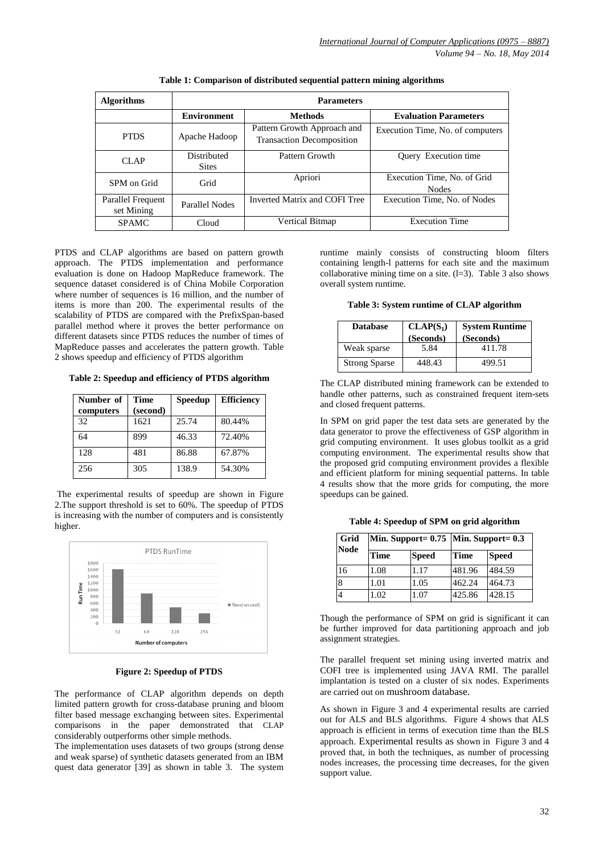| <b>Algorithms</b>               | <b>Parameters</b>           |                                                                 |                                             |  |
|---------------------------------|-----------------------------|-----------------------------------------------------------------|---------------------------------------------|--|
|                                 | <b>Environment</b>          | <b>Methods</b>                                                  | <b>Evaluation Parameters</b>                |  |
| <b>PTDS</b>                     | Apache Hadoop               | Pattern Growth Approach and<br><b>Transaction Decomposition</b> | Execution Time, No. of computers            |  |
| CIAP                            | Distributed<br><b>Sites</b> | Pattern Growth                                                  | Query Execution time                        |  |
| SPM on Grid                     | Grid                        | Apriori                                                         | Execution Time, No. of Grid<br><b>Nodes</b> |  |
| Parallel Frequent<br>set Mining | Parallel Nodes              | Inverted Matrix and COFI Tree                                   | Execution Time, No. of Nodes                |  |
| <b>SPAMC</b>                    | Cloud                       | Vertical Bitmap                                                 | <b>Execution Time</b>                       |  |

**Table 1: Comparison of distributed sequential pattern mining algorithms**

PTDS and CLAP algorithms are based on pattern growth approach. The PTDS implementation and performance evaluation is done on Hadoop MapReduce framework. The sequence dataset considered is of China Mobile Corporation where number of sequences is 16 million, and the number of items is more than 200. The experimental results of the scalability of PTDS are compared with the PrefixSpan-based parallel method where it proves the better performance on different datasets since PTDS reduces the number of times of MapReduce passes and accelerates the pattern growth. Table 2 shows speedup and efficiency of PTDS algorithm

**Table 2: Speedup and efficiency of PTDS algorithm**

| Number of | <b>Time</b> | <b>Speedup</b> | <b>Efficiency</b> |
|-----------|-------------|----------------|-------------------|
| computers | (second)    |                |                   |
| 32        | 1621        | 25.74          | 80.44%            |
| 64        | 899         | 46.33          | 72.40%            |
| 128       | 481         | 86.88          | 67.87%            |
| 256       | 305         | 138.9          | 54.30%            |

The experimental results of speedup are shown in Figure 2.The support threshold is set to 60%. The speedup of PTDS is increasing with the number of computers and is consistently higher.



**Figure 2: Speedup of PTDS**

The performance of CLAP algorithm depends on depth limited pattern growth for cross-database pruning and bloom filter based message exchanging between sites. Experimental comparisons in the paper demonstrated that CLAP considerably outperforms other simple methods.

The implementation uses datasets of two groups (strong dense and weak sparse) of synthetic datasets generated from an IBM quest data generator [39] as shown in table 3. The system

runtime mainly consists of constructing bloom filters containing length-l patterns for each site and the maximum collaborative mining time on a site.  $(l=3)$ . Table 3 also shows overall system runtime.

**Table 3: System runtime of CLAP algorithm**

| <b>Database</b>      | $CLAP(S_1)$ | <b>System Runtime</b> |  |
|----------------------|-------------|-----------------------|--|
|                      | (Seconds)   | (Seconds)             |  |
| Weak sparse          | 5.84        | 411.78                |  |
| <b>Strong Sparse</b> | 448.43      | 499.51                |  |

The CLAP distributed mining framework can be extended to handle other patterns, such as constrained frequent item-sets and closed frequent patterns.

In SPM on grid paper the test data sets are generated by the data generator to prove the effectiveness of GSP algorithm in grid computing environment. It uses globus toolkit as a grid computing environment. The experimental results show that the proposed grid computing environment provides a flexible and efficient platform for mining sequential patterns. In table 4 results show that the more grids for computing, the more speedups can be gained.

**Table 4: Speedup of SPM on grid algorithm**

| Grid<br><b>Node</b> |             | Min. Support= 0.75   Min. Support= 0.3 |        |              |  |
|---------------------|-------------|----------------------------------------|--------|--------------|--|
|                     | <b>Time</b> | <b>Speed</b>                           | Time   | <b>Speed</b> |  |
| 16                  | 1.08        | 1.17                                   | 481.96 | 484.59       |  |
| 8                   | 1.01        | 1.05                                   | 462.24 | 464.73       |  |
| $\overline{4}$      | 1.02        | 1.07                                   | 425.86 | 428.15       |  |

Though the performance of SPM on grid is significant it can be further improved for data partitioning approach and job assignment strategies.

The parallel frequent set mining using inverted matrix and COFI tree is implemented using JAVA RMI. The parallel implantation is tested on a cluster of six nodes. Experiments are carried out on mushroom database.

As shown in Figure 3 and 4 experimental results are carried out for ALS and BLS algorithms. Figure 4 shows that ALS approach is efficient in terms of execution time than the BLS approach. Experimental results as shown in Figure 3 and 4 proved that, in both the techniques, as number of processing nodes increases, the processing time decreases, for the given support value.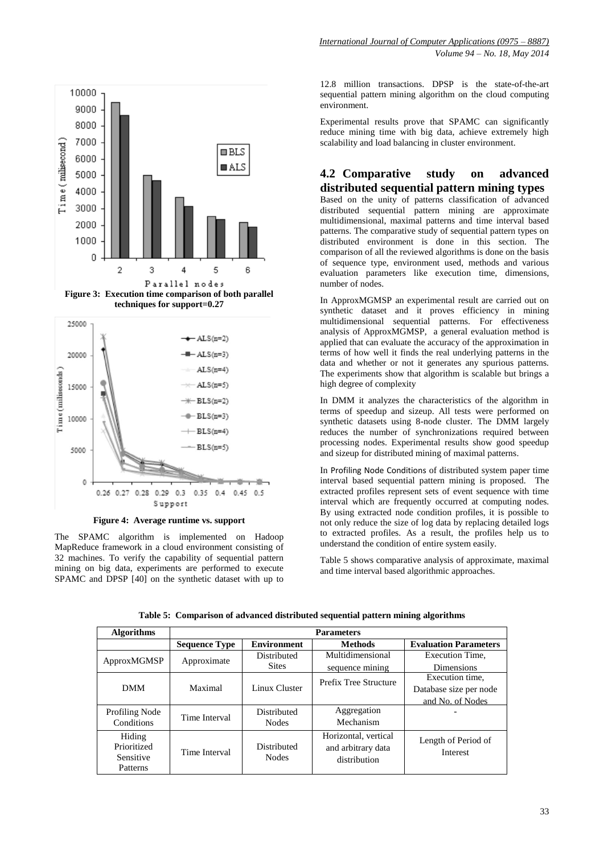



**Figure 4: Average runtime vs. support**

The SPAMC algorithm is implemented on Hadoop MapReduce framework in a cloud environment consisting of 32 machines. To verify the capability of sequential pattern mining on big data, experiments are performed to execute SPAMC and DPSP [40] on the synthetic dataset with up to

12.8 million transactions. DPSP is the state-of-the-art sequential pattern mining algorithm on the cloud computing environment.

Experimental results prove that SPAMC can significantly reduce mining time with big data, achieve extremely high scalability and load balancing in cluster environment.

# **4.2 Comparative study on advanced distributed sequential pattern mining types**

Based on the unity of patterns classification of advanced distributed sequential pattern mining are approximate multidimensional, maximal patterns and time interval based patterns. The comparative study of sequential pattern types on distributed environment is done in this section. The comparison of all the reviewed algorithms is done on the basis of sequence type, environment used, methods and various evaluation parameters like execution time, dimensions, number of nodes.

In ApproxMGMSP an experimental result are carried out on synthetic dataset and it proves efficiency in mining multidimensional sequential patterns. For effectiveness analysis of ApproxMGMSP, a general evaluation method is applied that can evaluate the accuracy of the approximation in terms of how well it finds the real underlying patterns in the data and whether or not it generates any spurious patterns. The experiments show that algorithm is scalable but brings a high degree of complexity

In DMM it analyzes the characteristics of the algorithm in terms of speedup and sizeup. All tests were performed on synthetic datasets using 8-node cluster. The DMM largely reduces the number of synchronizations required between processing nodes. Experimental results show good speedup and sizeup for distributed mining of maximal patterns.

In Profiling Node Conditions of distributed system paper time interval based sequential pattern mining is proposed. The extracted profiles represent sets of event sequence with time interval which are frequently occurred at computing nodes. By using extracted node condition profiles, it is possible to not only reduce the size of log data by replacing detailed logs to extracted profiles. As a result, the profiles help us to understand the condition of entire system easily.

Table 5 shows comparative analysis of approximate, maximal and time interval based algorithmic approaches.

| <b>Algorithms</b>     | <b>Parameters</b>    |                    |                              |                              |
|-----------------------|----------------------|--------------------|------------------------------|------------------------------|
|                       | <b>Sequence Type</b> | <b>Environment</b> | <b>Methods</b>               | <b>Evaluation Parameters</b> |
| ApproxMGMSP           | Approximate          | Distributed        | Multidimensional             | Execution Time,              |
|                       |                      | <b>Sites</b>       | sequence mining              | <b>Dimensions</b>            |
| <b>DMM</b>            | Maximal              | Linux Cluster      | <b>Prefix Tree Structure</b> | Execution time.              |
|                       |                      |                    |                              | Database size per node       |
|                       |                      |                    |                              | and No. of Nodes             |
| <b>Profiling Node</b> | Time Interval        | Distributed        | Aggregation                  |                              |
| Conditions            |                      | <b>Nodes</b>       | Mechanism                    |                              |
| Hiding                |                      |                    | Horizontal, vertical         | Length of Period of          |
| Prioritized           | Time Interval        | Distributed        | and arbitrary data           | Interest                     |
| Sensitive             |                      | <b>Nodes</b>       | distribution                 |                              |
| Patterns              |                      |                    |                              |                              |

**Table 5: Comparison of advanced distributed sequential pattern mining algorithms**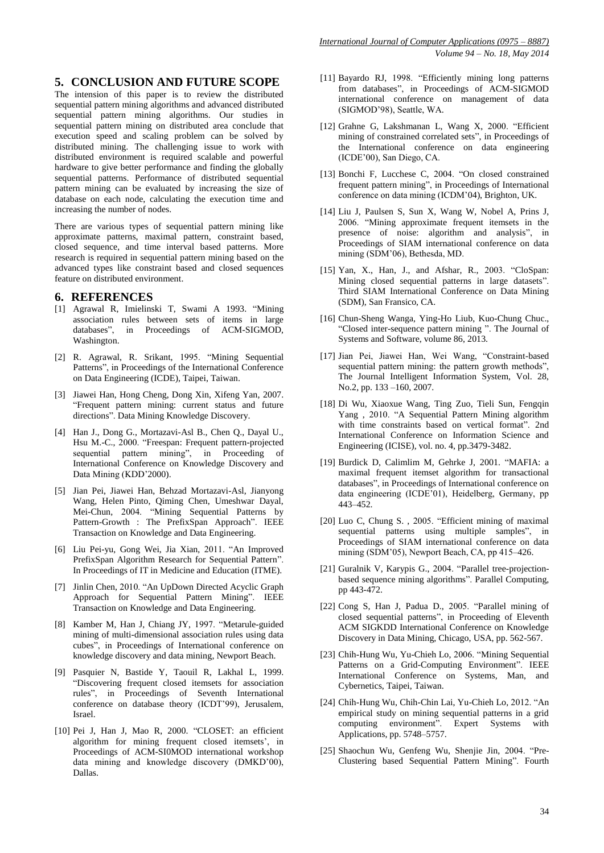# **5. CONCLUSION AND FUTURE SCOPE**

The intension of this paper is to review the distributed sequential pattern mining algorithms and advanced distributed sequential pattern mining algorithms. Our studies in sequential pattern mining on distributed area conclude that execution speed and scaling problem can be solved by distributed mining. The challenging issue to work with distributed environment is required scalable and powerful hardware to give better performance and finding the globally sequential patterns. Performance of distributed sequential pattern mining can be evaluated by increasing the size of database on each node, calculating the execution time and increasing the number of nodes.

There are various types of sequential pattern mining like approximate patterns, maximal pattern, constraint based, closed sequence, and time interval based patterns. More research is required in sequential pattern mining based on the advanced types like constraint based and closed sequences feature on distributed environment.

### **6. REFERENCES**

- [1] Agrawal R, Imielinski T, Swami A 1993. "Mining association rules between sets of items in large databases", in Proceedings of ACM-SIGMOD, Washington.
- [2] R. Agrawal, R. Srikant, 1995. "Mining Sequential Patterns", in Proceedings of the International Conference on Data Engineering (ICDE), Taipei, Taiwan.
- [3] Jiawei Han, Hong Cheng, Dong Xin, Xifeng Yan, 2007. "Frequent pattern mining: current status and future directions". Data Mining Knowledge Discovery.
- [4] Han J., Dong G., Mortazavi-Asl B., Chen Q., Dayal U., Hsu M.-C., 2000. "Freespan: Frequent pattern-projected sequential pattern mining", in Proceeding of International Conference on Knowledge Discovery and Data Mining (KDD'2000).
- [5] Jian Pei, Jiawei Han, Behzad Mortazavi-Asl, Jianyong Wang, Helen Pinto, Qiming Chen, Umeshwar Dayal, Mei-Chun, 2004. "Mining Sequential Patterns by Pattern-Growth : The PrefixSpan Approach". IEEE Transaction on Knowledge and Data Engineering.
- [6] Liu Pei-yu, Gong Wei, Jia Xian, 2011. "An Improved PrefixSpan Algorithm Research for Sequential Pattern". In Proceedings of IT in Medicine and Education (ITME).
- [7] Jinlin Chen, 2010. "An UpDown Directed Acyclic Graph Approach for Sequential Pattern Mining". IEEE Transaction on Knowledge and Data Engineering.
- [8] Kamber M, Han J, Chiang JY, 1997. "Metarule-guided mining of multi-dimensional association rules using data cubes", in Proceedings of International conference on knowledge discovery and data mining, Newport Beach.
- [9] Pasquier N, Bastide Y, Taouil R, Lakhal L, 1999. "Discovering frequent closed itemsets for association rules", in Proceedings of Seventh International conference on database theory (ICDT'99), Jerusalem, Israel.
- [10] Pei J, Han J, Mao R, 2000. "CLOSET: an efficient algorithm for mining frequent closed itemsets', in Proceedings of ACM-SI0MOD international workshop data mining and knowledge discovery (DMKD'00), Dallas.
- [11] Bayardo RJ, 1998. "Efficiently mining long patterns from databases", in Proceedings of ACM-SIGMOD international conference on management of data (SIGMOD'98), Seattle, WA.
- [12] Grahne G, Lakshmanan L, Wang X, 2000. "Efficient mining of constrained correlated sets", in Proceedings of the International conference on data engineering (ICDE'00), San Diego, CA.
- [13] Bonchi F, Lucchese C, 2004. "On closed constrained frequent pattern mining", in Proceedings of International conference on data mining (ICDM'04), Brighton, UK.
- [14] Liu J, Paulsen S, Sun X, Wang W, Nobel A, Prins J, 2006. "Mining approximate frequent itemsets in the presence of noise: algorithm and analysis", in Proceedings of SIAM international conference on data mining (SDM'06), Bethesda, MD.
- [15] Yan, X., Han, J., and Afshar, R., 2003. "CloSpan: Mining closed sequential patterns in large datasets". Third SIAM International Conference on Data Mining (SDM), San Fransico, CA.
- [16] Chun-Sheng Wanga, Ying-Ho Liub, Kuo-Chung Chuc., "Closed inter-sequence pattern mining ". The Journal of Systems and Software, volume 86, 2013.
- [17] Jian Pei, Jiawei Han, Wei Wang, "Constraint-based sequential pattern mining: the pattern growth methods", The Journal Intelligent Information System, Vol. 28, No.2, pp. 133 –160, 2007.
- [18] Di Wu, Xiaoxue Wang, Ting Zuo, Tieli Sun, Fengqin Yang , 2010. "A Sequential Pattern Mining algorithm with time constraints based on vertical format". 2nd International Conference on Information Science and Engineering (ICISE), vol. no. 4, pp.3479-3482.
- [19] Burdick D, Calimlim M, Gehrke J, 2001. "MAFIA: a maximal frequent itemset algorithm for transactional databases", in Proceedings of International conference on data engineering (ICDE'01), Heidelberg, Germany, pp 443–452.
- [20] Luo C, Chung S. , 2005. "Efficient mining of maximal sequential patterns using multiple samples", in Proceedings of SIAM international conference on data mining (SDM'05), Newport Beach, CA, pp 415–426.
- [21] Guralnik V, Karypis G., 2004. "Parallel tree-projectionbased sequence mining algorithms". Parallel Computing, pp 443-472.
- [22] Cong S, Han J, Padua D., 2005. "Parallel mining of closed sequential patterns", in Proceeding of Eleventh ACM SIGKDD International Conference on Knowledge Discovery in Data Mining, Chicago, USA, pp. 562-567.
- [23] Chih-Hung Wu, Yu-Chieh Lo, 2006. "Mining Sequential Patterns on a Grid-Computing Environment". IEEE International Conference on Systems, Man, and Cybernetics, Taipei, Taiwan.
- [24] Chih-Hung Wu, Chih-Chin Lai, Yu-Chieh Lo, 2012. "An empirical study on mining sequential patterns in a grid computing environment". Expert Systems with Applications, pp. 5748–5757.
- [25] Shaochun Wu, Genfeng Wu, Shenjie Jin, 2004. "Pre-Clustering based Sequential Pattern Mining". Fourth